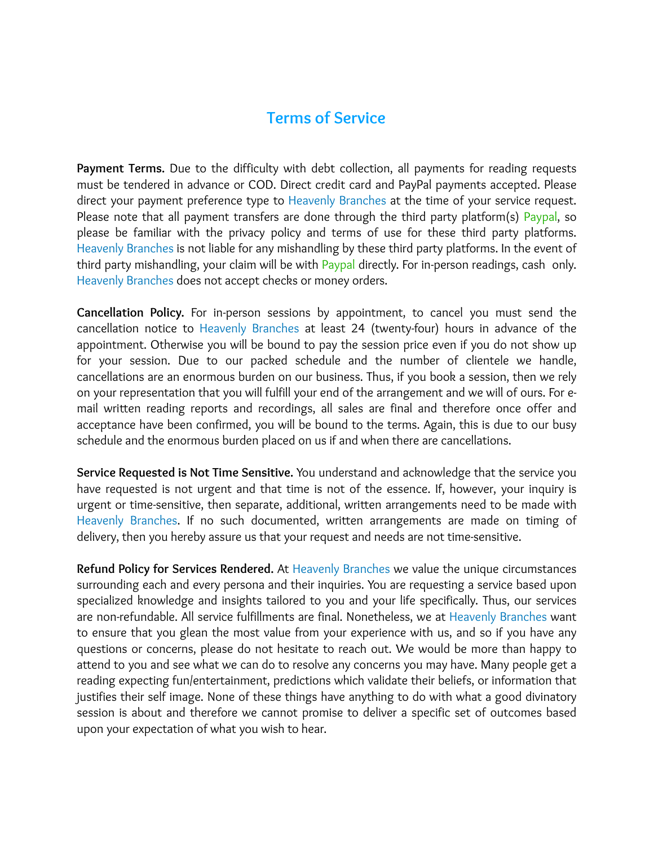## **Terms of Service**

**Payment Terms.** Due to the difficulty with debt collection, all payments for reading requests must be tendered in advance or COD. Direct credit card and PayPal payments accepted. Please direct your payment preference type to Heavenly Branches at the time of your service request. Please note that all payment transfers are done through the third party platform(s) Paypal, so please be familiar with the privacy policy and terms of use for these third party platforms. Heavenly Branches is not liable for any mishandling by these third party platforms. In the event of third party mishandling, your claim will be with Paypal directly. For in-person readings, cash only. Heavenly Branches does not accept checks or money orders.

**Cancellation Policy.** For in-person sessions by appointment, to cancel you must send the cancellation notice to Heavenly Branches at least 24 (twenty-four) hours in advance of the appointment. Otherwise you will be bound to pay the session price even if you do not show up for your session. Due to our packed schedule and the number of clientele we handle, cancellations are an enormous burden on our business. Thus, if you book a session, then we rely on your representation that you will fulfill your end of the arrangement and we will of ours. For email written reading reports and recordings, all sales are final and therefore once offer and acceptance have been confirmed, you will be bound to the terms. Again, this is due to our busy schedule and the enormous burden placed on us if and when there are cancellations.

**Service Requested is Not Time Sensitive.** You understand and acknowledge that the service you have requested is not urgent and that time is not of the essence. If, however, your inquiry is urgent or time-sensitive, then separate, additional, written arrangements need to be made with Heavenly Branches. If no such documented, written arrangements are made on timing of delivery, then you hereby assure us that your request and needs are not time-sensitive.

**Refund Policy for Services Rendered.** At Heavenly Branches we value the unique circumstances surrounding each and every persona and their inquiries. You are requesting a service based upon specialized knowledge and insights tailored to you and your life specifically. Thus, our services are non-refundable. All service fulfillments are final. Nonetheless, we at Heavenly Branches want to ensure that you glean the most value from your experience with us, and so if you have any questions or concerns, please do not hesitate to reach out. We would be more than happy to attend to you and see what we can do to resolve any concerns you may have. Many people get a reading expecting fun/entertainment, predictions which validate their beliefs, or information that justifies their self image. None of these things have anything to do with what a good divinatory session is about and therefore we cannot promise to deliver a specific set of outcomes based upon your expectation of what you wish to hear.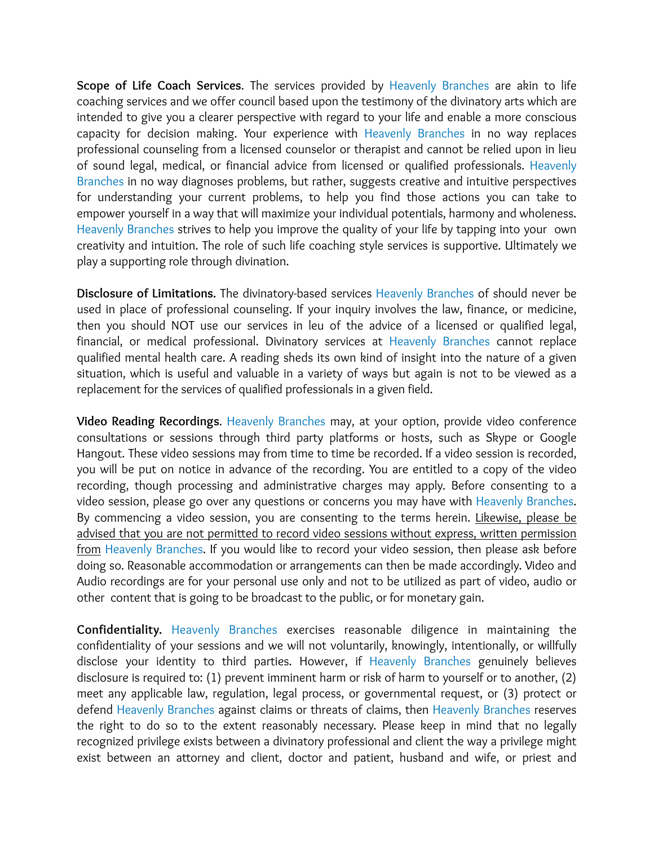**Scope of Life Coach Services**. The services provided by Heavenly Branches are akin to life coaching services and we offer council based upon the testimony of the divinatory arts which are intended to give you a clearer perspective with regard to your life and enable a more conscious capacity for decision making. Your experience with Heavenly Branches in no way replaces professional counseling from a licensed counselor or therapist and cannot be relied upon in lieu of sound legal, medical, or financial advice from licensed or qualified professionals. Heavenly Branches in no way diagnoses problems, but rather, suggests creative and intuitive perspectives for understanding your current problems, to help you find those actions you can take to empower yourself in a way that will maximize your individual potentials, harmony and wholeness. Heavenly Branches strives to help you improve the quality of your life by tapping into your own creativity and intuition. The role of such life coaching style services is supportive. Ultimately we play a supporting role through divination.

**Disclosure of Limitations.** The divinatory-based services Heavenly Branches of should never be used in place of professional counseling. If your inquiry involves the law, finance, or medicine, then you should NOT use our services in leu of the advice of a licensed or qualified legal, financial, or medical professional. Divinatory services at Heavenly Branches cannot replace qualified mental health care. A reading sheds its own kind of insight into the nature of a given situation, which is useful and valuable in a variety of ways but again is not to be viewed as a replacement for the services of qualified professionals in a given field.

**Video Reading Recordings**. Heavenly Branches may, at your option, provide video conference consultations or sessions through third party platforms or hosts, such as Skype or Google Hangout. These video sessions may from time to time be recorded. If a video session is recorded, you will be put on notice in advance of the recording. You are entitled to a copy of the video recording, though processing and administrative charges may apply. Before consenting to a video session, please go over any questions or concerns you may have with Heavenly Branches. By commencing a video session, you are consenting to the terms herein. Likewise, please be advised that you are not permitted to record video sessions without express, written permission from Heavenly Branches. If you would like to record your video session, then please ask before doing so. Reasonable accommodation or arrangements can then be made accordingly. Video and Audio recordings are for your personal use only and not to be utilized as part of video, audio or other content that is going to be broadcast to the public, or for monetary gain.

**Confidentiality.** Heavenly Branches exercises reasonable diligence in maintaining the confidentiality of your sessions and we will not voluntarily, knowingly, intentionally, or willfully disclose your identity to third parties. However, if Heavenly Branches genuinely believes disclosure is required to: (1) prevent imminent harm or risk of harm to yourself or to another, (2) meet any applicable law, regulation, legal process, or governmental request, or (3) protect or defend Heavenly Branches against claims or threats of claims, then Heavenly Branches reserves the right to do so to the extent reasonably necessary. Please keep in mind that no legally recognized privilege exists between a divinatory professional and client the way a privilege might exist between an attorney and client, doctor and patient, husband and wife, or priest and